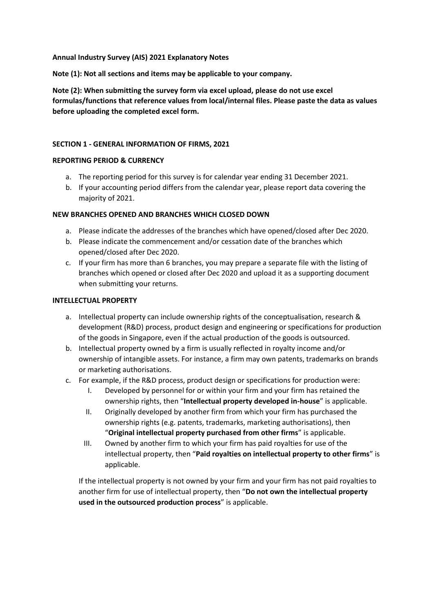**Annual Industry Survey (AIS) 2021 Explanatory Notes**

**Note (1): Not all sections and items may be applicable to your company.**

**Note (2): When submitting the survey form via excel upload, please do not use excel formulas/functions that reference values from local/internal files. Please paste the data as values before uploading the completed excel form.**

# **SECTION 1 - GENERAL INFORMATION OF FIRMS, 2021**

#### **REPORTING PERIOD & CURRENCY**

- a. The reporting period for this survey is for calendar year ending 31 December 2021.
- b. If your accounting period differs from the calendar year, please report data covering the majority of 2021.

#### **NEW BRANCHES OPENED AND BRANCHES WHICH CLOSED DOWN**

- a. Please indicate the addresses of the branches which have opened/closed after Dec 2020.
- b. Please indicate the commencement and/or cessation date of the branches which opened/closed after Dec 2020.
- c. If your firm has more than 6 branches, you may prepare a separate file with the listing of branches which opened or closed after Dec 2020 and upload it as a supporting document when submitting your returns.

#### **INTELLECTUAL PROPERTY**

- a. Intellectual property can include ownership rights of the conceptualisation, research & development (R&D) process, product design and engineering or specifications for production of the goods in Singapore, even if the actual production of the goods is outsourced.
- b. Intellectual property owned by a firm is usually reflected in royalty income and/or ownership of intangible assets. For instance, a firm may own patents, trademarks on brands or marketing authorisations.
- c. For example, if the R&D process, product design or specifications for production were:
	- I. Developed by personnel for or within your firm and your firm has retained the ownership rights, then "**Intellectual property developed in-house**" is applicable.
	- II. Originally developed by another firm from which your firm has purchased the ownership rights (e.g. patents, trademarks, marketing authorisations), then "**Original intellectual property purchased from other firms**" is applicable.
	- III. Owned by another firm to which your firm has paid royalties for use of the intellectual property, then "**Paid royalties on intellectual property to other firms**" is applicable.

If the intellectual property is not owned by your firm and your firm has not paid royalties to another firm for use of intellectual property, then "**Do not own the intellectual property used in the outsourced production process**" is applicable.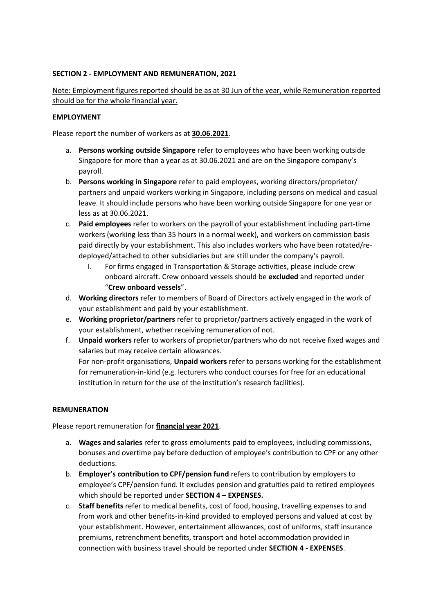# **SECTION 2 - EMPLOYMENT AND REMUNERATION, 2021**

Note: Employment figures reported should be as at 30 Jun of the year, while Remuneration reported should be for the whole financial year.

#### **EMPLOYMENT**

Please report the number of workers as at **30.06.2021**.

- a. **Persons working outside Singapore** refer to employees who have been working outside Singapore for more than a year as at 30.06.2021 and are on the Singapore company's payroll.
- b. **Persons working in Singapore** refer to paid employees, working directors/proprietor/ partners and unpaid workers working in Singapore, including persons on medical and casual leave. It should include persons who have been working outside Singapore for one year or less as at 30.06.2021.
- c. **Paid employees** refer to workers on the payroll of your establishment including part-time workers (working less than 35 hours in a normal week), and workers on commission basis paid directly by your establishment. This also includes workers who have been rotated/redeployed/attached to other subsidiaries but are still under the company's payroll.
	- I. For firms engaged in Transportation & Storage activities, please include crew onboard aircraft. Crew onboard vessels should be **excluded** and reported under "**Crew onboard vessels**".
- d. **Working directors** refer to members of Board of Directors actively engaged in the work of your establishment and paid by your establishment.
- e. **Working proprietor/partners** refer to proprietor/partners actively engaged in the work of your establishment, whether receiving remuneration of not.
- f. **Unpaid workers** refer to workers of proprietor/partners who do not receive fixed wages and salaries but may receive certain allowances. For non-profit organisations, **Unpaid workers** refer to persons working for the establishment for remuneration-in-kind (e.g. lecturers who conduct courses for free for an educational institution in return for the use of the institution's research facilities).

#### **REMUNERATION**

Please report remuneration for **financial year 2021**.

- a. **Wages and salaries** refer to gross emoluments paid to employees, including commissions, bonuses and overtime pay before deduction of employee's contribution to CPF or any other deductions.
- b. **Employer's contribution to CPF/pension fund** refers to contribution by employers to employee's CPF/pension fund. It excludes pension and gratuities paid to retired employees which should be reported under **SECTION 4 – EXPENSES.**
- c. **Staff benefits** refer to medical benefits, cost of food, housing, travelling expenses to and from work and other benefits-in-kind provided to employed persons and valued at cost by your establishment. However, entertainment allowances, cost of uniforms, staff insurance premiums, retrenchment benefits, transport and hotel accommodation provided in connection with business travel should be reported under **SECTION 4 - EXPENSES**.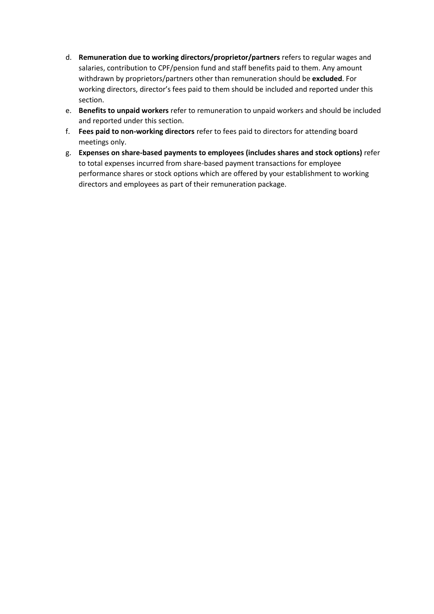- d. **Remuneration due to working directors/proprietor/partners** refers to regular wages and salaries, contribution to CPF/pension fund and staff benefits paid to them. Any amount withdrawn by proprietors/partners other than remuneration should be **excluded**. For working directors, director's fees paid to them should be included and reported under this section.
- e. **Benefits to unpaid workers** refer to remuneration to unpaid workers and should be included and reported under this section.
- f. **Fees paid to non-working directors** refer to fees paid to directors for attending board meetings only.
- g. **Expenses on share-based payments to employees (includes shares and stock options)** refer to total expenses incurred from share-based payment transactions for employee performance shares or stock options which are offered by your establishment to working directors and employees as part of their remuneration package.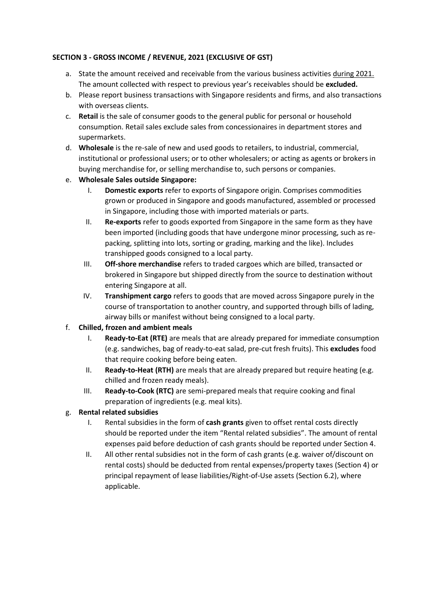# **SECTION 3 - GROSS INCOME / REVENUE, 2021 (EXCLUSIVE OF GST)**

- a. State the amount received and receivable from the various business activities during 2021. The amount collected with respect to previous year's receivables should be **excluded.**
- b. Please report business transactions with Singapore residents and firms, and also transactions with overseas clients.
- c. **Retail** is the sale of consumer goods to the general public for personal or household consumption. Retail sales exclude sales from concessionaires in department stores and supermarkets.
- d. **Wholesale** is the re-sale of new and used goods to retailers, to industrial, commercial, institutional or professional users; or to other wholesalers; or acting as agents or brokers in buying merchandise for, or selling merchandise to, such persons or companies.
- e. **Wholesale Sales outside Singapore:** 
	- I. **Domestic exports** refer to exports of Singapore origin. Comprises commodities grown or produced in Singapore and goods manufactured, assembled or processed in Singapore, including those with imported materials or parts.
	- II. **Re-exports** refer to goods exported from Singapore in the same form as they have been imported (including goods that have undergone minor processing, such as repacking, splitting into lots, sorting or grading, marking and the like). Includes transhipped goods consigned to a local party.
	- III. **Off-shore merchandise** refers to traded cargoes which are billed, transacted or brokered in Singapore but shipped directly from the source to destination without entering Singapore at all.
	- IV. **Transhipment cargo** refers to goods that are moved across Singapore purely in the course of transportation to another country, and supported through bills of lading, airway bills or manifest without being consigned to a local party.
- f. **Chilled, frozen and ambient meals**
	- I. **Ready-to-Eat (RTE)** are meals that are already prepared for immediate consumption (e.g. sandwiches, bag of ready-to-eat salad, pre-cut fresh fruits). This **excludes** food that require cooking before being eaten.
	- II. **Ready-to-Heat (RTH)** are meals that are already prepared but require heating (e.g. chilled and frozen ready meals).
	- III. **Ready-to-Cook (RTC)** are semi-prepared meals that require cooking and final preparation of ingredients (e.g. meal kits).
- g. **Rental related subsidies**
	- I. Rental subsidies in the form of **cash grants** given to offset rental costs directly should be reported under the item "Rental related subsidies". The amount of rental expenses paid before deduction of cash grants should be reported under Section 4.
	- II. All other rental subsidies not in the form of cash grants (e.g. waiver of/discount on rental costs) should be deducted from rental expenses/property taxes (Section 4) or principal repayment of lease liabilities/Right-of-Use assets (Section 6.2), where applicable.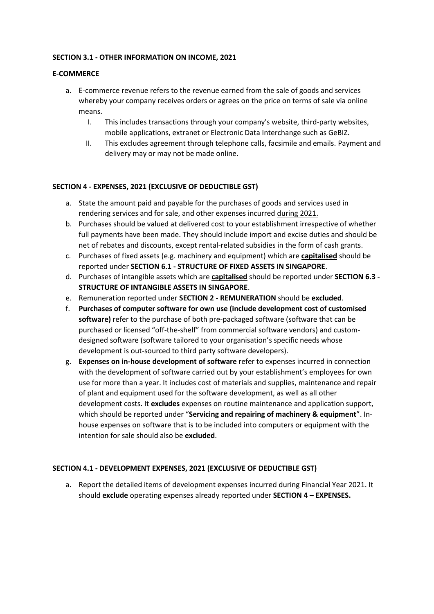## **SECTION 3.1 - OTHER INFORMATION ON INCOME, 2021**

## **E-COMMERCE**

- a. E-commerce revenue refers to the revenue earned from the sale of goods and services whereby your company receives orders or agrees on the price on terms of sale via online means.
	- I. This includes transactions through your company's website, third-party websites, mobile applications, extranet or Electronic Data Interchange such as GeBIZ.
	- II. This excludes agreement through telephone calls, facsimile and emails. Payment and delivery may or may not be made online.

## **SECTION 4 - EXPENSES, 2021 (EXCLUSIVE OF DEDUCTIBLE GST)**

- a. State the amount paid and payable for the purchases of goods and services used in rendering services and for sale, and other expenses incurred during 2021.
- b. Purchases should be valued at delivered cost to your establishment irrespective of whether full payments have been made. They should include import and excise duties and should be net of rebates and discounts, except rental-related subsidies in the form of cash grants.
- c. Purchases of fixed assets (e.g. machinery and equipment) which are **capitalised** should be reported under **SECTION 6.1 - STRUCTURE OF FIXED ASSETS IN SINGAPORE**.
- d. Purchases of intangible assets which are **capitalised** should be reported under **SECTION 6.3 - STRUCTURE OF INTANGIBLE ASSETS IN SINGAPORE**.
- e. Remuneration reported under **SECTION 2 - REMUNERATION** should be **excluded**.
- f. **Purchases of computer software for own use (include development cost of customised software)** refer to the purchase of both pre-packaged software (software that can be purchased or licensed "off-the-shelf" from commercial software vendors) and customdesigned software (software tailored to your organisation's specific needs whose development is out-sourced to third party software developers).
- g. **Expenses on in-house development of software** refer to expenses incurred in connection with the development of software carried out by your establishment's employees for own use for more than a year. It includes cost of materials and supplies, maintenance and repair of plant and equipment used for the software development, as well as all other development costs. It **excludes** expenses on routine maintenance and application support, which should be reported under "**Servicing and repairing of machinery & equipment**". Inhouse expenses on software that is to be included into computers or equipment with the intention for sale should also be **excluded**.

#### **SECTION 4.1 - DEVELOPMENT EXPENSES, 2021 (EXCLUSIVE OF DEDUCTIBLE GST)**

a. Report the detailed items of development expenses incurred during Financial Year 2021. It should **exclude** operating expenses already reported under **SECTION 4 – EXPENSES.**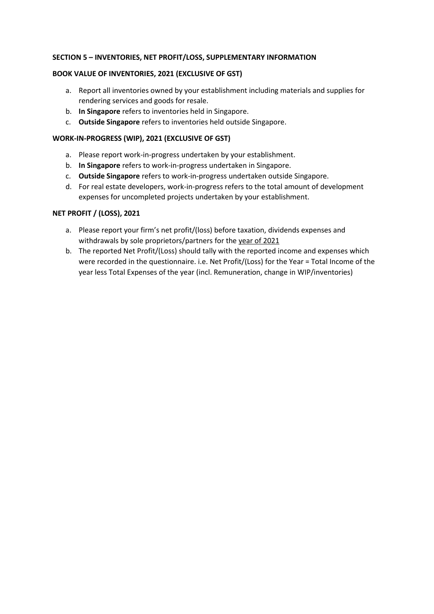## **SECTION 5 – INVENTORIES, NET PROFIT/LOSS, SUPPLEMENTARY INFORMATION**

## **BOOK VALUE OF INVENTORIES, 2021 (EXCLUSIVE OF GST)**

- a. Report all inventories owned by your establishment including materials and supplies for rendering services and goods for resale.
- b. **In Singapore** refers to inventories held in Singapore.
- c. **Outside Singapore** refers to inventories held outside Singapore.

## **WORK-IN-PROGRESS (WIP), 2021 (EXCLUSIVE OF GST)**

- a. Please report work-in-progress undertaken by your establishment.
- b. **In Singapore** refers to work-in-progress undertaken in Singapore.
- c. **Outside Singapore** refers to work-in-progress undertaken outside Singapore.
- d. For real estate developers, work-in-progress refers to the total amount of development expenses for uncompleted projects undertaken by your establishment.

#### **NET PROFIT / (LOSS), 2021**

- a. Please report your firm's net profit/(loss) before taxation, dividends expenses and withdrawals by sole proprietors/partners for the year of 2021
- b. The reported Net Profit/(Loss) should tally with the reported income and expenses which were recorded in the questionnaire. i.e. Net Profit/(Loss) for the Year = Total Income of the year less Total Expenses of the year (incl. Remuneration, change in WIP/inventories)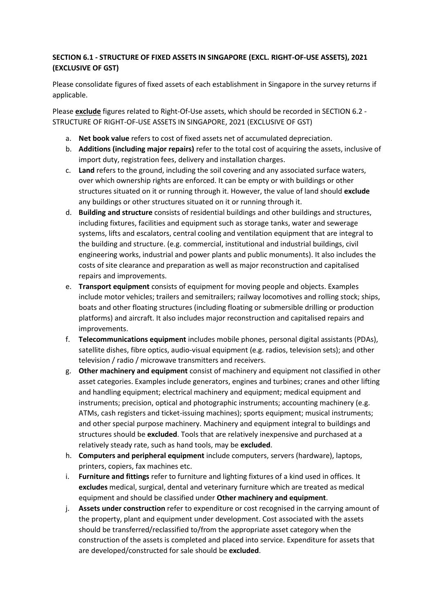# **SECTION 6.1 - STRUCTURE OF FIXED ASSETS IN SINGAPORE (EXCL. RIGHT-OF-USE ASSETS), 2021 (EXCLUSIVE OF GST)**

Please consolidate figures of fixed assets of each establishment in Singapore in the survey returns if applicable.

Please **exclude** figures related to Right-Of-Use assets, which should be recorded in SECTION 6.2 - STRUCTURE OF RIGHT-OF-USE ASSETS IN SINGAPORE, 2021 (EXCLUSIVE OF GST)

- a. **Net book value** refers to cost of fixed assets net of accumulated depreciation.
- b. **Additions (including major repairs)** refer to the total cost of acquiring the assets, inclusive of import duty, registration fees, delivery and installation charges.
- c. **Land** refers to the ground, including the soil covering and any associated surface waters, over which ownership rights are enforced. It can be empty or with buildings or other structures situated on it or running through it. However, the value of land should **exclude** any buildings or other structures situated on it or running through it.
- d. **Building and structure** consists of residential buildings and other buildings and structures, including fixtures, facilities and equipment such as storage tanks, water and sewerage systems, lifts and escalators, central cooling and ventilation equipment that are integral to the building and structure. (e.g. commercial, institutional and industrial buildings, civil engineering works, industrial and power plants and public monuments). It also includes the costs of site clearance and preparation as well as major reconstruction and capitalised repairs and improvements.
- e. **Transport equipment** consists of equipment for moving people and objects. Examples include motor vehicles; trailers and semitrailers; railway locomotives and rolling stock; ships, boats and other floating structures (including floating or submersible drilling or production platforms) and aircraft. It also includes major reconstruction and capitalised repairs and improvements.
- f. **Telecommunications equipment** includes mobile phones, personal digital assistants (PDAs), satellite dishes, fibre optics, audio-visual equipment (e.g. radios, television sets); and other television / radio / microwave transmitters and receivers.
- g. **Other machinery and equipment** consist of machinery and equipment not classified in other asset categories. Examples include generators, engines and turbines; cranes and other lifting and handling equipment; electrical machinery and equipment; medical equipment and instruments; precision, optical and photographic instruments; accounting machinery (e.g. ATMs, cash registers and ticket-issuing machines); sports equipment; musical instruments; and other special purpose machinery. Machinery and equipment integral to buildings and structures should be **excluded**. Tools that are relatively inexpensive and purchased at a relatively steady rate, such as hand tools, may be **excluded**.
- h. **Computers and peripheral equipment** include computers, servers (hardware), laptops, printers, copiers, fax machines etc.
- i. **Furniture and fittings** refer to furniture and lighting fixtures of a kind used in offices. It **excludes** medical, surgical, dental and veterinary furniture which are treated as medical equipment and should be classified under **Other machinery and equipment**.
- j. **Assets under construction** refer to expenditure or cost recognised in the carrying amount of the property, plant and equipment under development. Cost associated with the assets should be transferred/reclassified to/from the appropriate asset category when the construction of the assets is completed and placed into service. Expenditure for assets that are developed/constructed for sale should be **excluded**.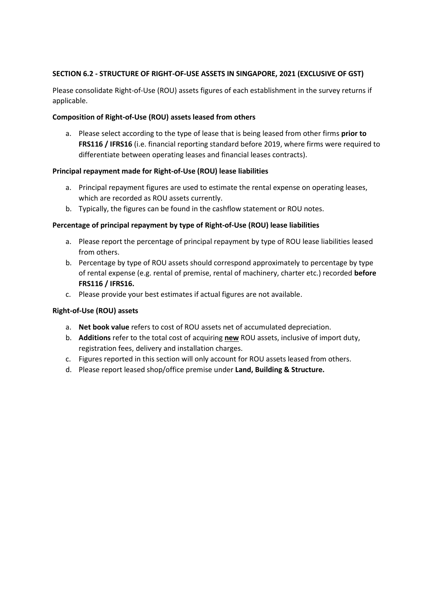# **SECTION 6.2 - STRUCTURE OF RIGHT-OF-USE ASSETS IN SINGAPORE, 2021 (EXCLUSIVE OF GST)**

Please consolidate Right-of-Use (ROU) assets figures of each establishment in the survey returns if applicable.

# **Composition of Right-of-Use (ROU) assets leased from others**

a. Please select according to the type of lease that is being leased from other firms **prior to FRS116 / IFRS16** (i.e. financial reporting standard before 2019, where firms were required to differentiate between operating leases and financial leases contracts).

## **Principal repayment made for Right-of-Use (ROU) lease liabilities**

- a. Principal repayment figures are used to estimate the rental expense on operating leases, which are recorded as ROU assets currently.
- b. Typically, the figures can be found in the cashflow statement or ROU notes.

## **Percentage of principal repayment by type of Right-of-Use (ROU) lease liabilities**

- a. Please report the percentage of principal repayment by type of ROU lease liabilities leased from others.
- b. Percentage by type of ROU assets should correspond approximately to percentage by type of rental expense (e.g. rental of premise, rental of machinery, charter etc.) recorded **before FRS116 / IFRS16.**
- c. Please provide your best estimates if actual figures are not available.

# **Right-of-Use (ROU) assets**

- a. **Net book value** refers to cost of ROU assets net of accumulated depreciation.
- b. **Additions** refer to the total cost of acquiring **new** ROU assets, inclusive of import duty, registration fees, delivery and installation charges.
- c. Figures reported in this section will only account for ROU assets leased from others.
- d. Please report leased shop/office premise under **Land, Building & Structure.**